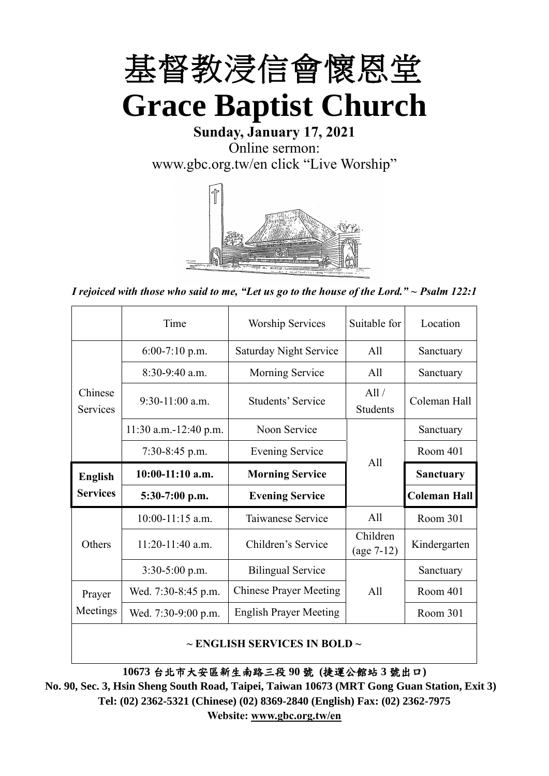

**Sunday, January 17, 2021** Online sermon: [www.gbc.org.tw/en](http://www.gbc.org.tw/en) click "Live Worship"



*I rejoiced with those who said to me, "Let us go to the house of the Lord." ~ Psalm 122:1*

|                            | Time                  | <b>Worship Services</b>       | Suitable for             | Location            |
|----------------------------|-----------------------|-------------------------------|--------------------------|---------------------|
|                            | $6:00-7:10$ p.m.      | <b>Saturday Night Service</b> | A11                      | Sanctuary           |
|                            | $8:30-9:40$ a.m.      | <b>Morning Service</b>        | All                      | Sanctuary           |
| Chinese<br><b>Services</b> | $9:30-11:00$ a.m.     | Students' Service             | All /<br><b>Students</b> | Coleman Hall        |
|                            | 11:30 a.m.-12:40 p.m. | Noon Service                  |                          | Sanctuary           |
|                            | $7:30-8:45$ p.m.      | <b>Evening Service</b>        | All                      | Room 401            |
|                            |                       |                               |                          |                     |
| <b>English</b>             | $10:00-11:10$ a.m.    | <b>Morning Service</b>        |                          | <b>Sanctuary</b>    |
| <b>Services</b>            | 5:30-7:00 p.m.        | <b>Evening Service</b>        |                          | <b>Coleman Hall</b> |
|                            | $10:00-11:15$ a.m.    | Taiwanese Service             | A11                      | Room 301            |
| Others                     | $11:20-11:40$ a.m.    | Children's Service            | Children<br>$(age 7-12)$ | Kindergarten        |
|                            | $3:30-5:00$ p.m.      | <b>Bilingual Service</b>      |                          | Sanctuary           |
| Prayer                     | Wed. 7:30-8:45 p.m.   | <b>Chinese Prayer Meeting</b> | A11                      | Room 401            |
| Meetings                   | Wed. 7:30-9:00 p.m.   | <b>English Prayer Meeting</b> |                          | Room 301            |

#### **~ ENGLISH SERVICES IN BOLD ~**

**10673** 台北市大安區新生南路三段 **90** 號 **(**捷運公館站 **3** 號出口**)**

**No. 90, Sec. 3, Hsin Sheng South Road, Taipei, Taiwan 10673 (MRT Gong Guan Station, Exit 3) Tel: (02) 2362-5321 (Chinese) (02) 8369-2840 (English) Fax: (02) 2362-7975 Website: [www.gbc.org.tw/en](http://www.gbc.org.tw/en)**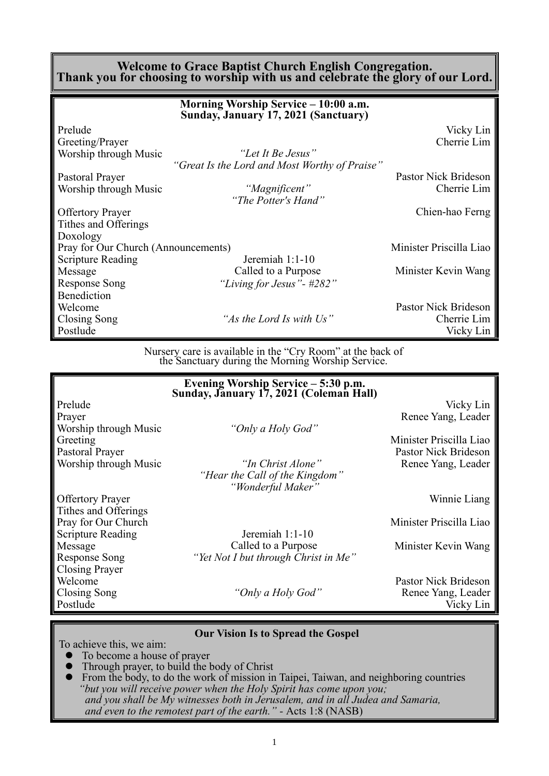#### **Welcome to Grace Baptist Church English Congregation. Thank you for choosing to worship with us and celebrate the glory of our Lord.**

|                                     | Morning Worship Service - 10:00 a.m.<br>Sunday, January 17, 2021 (Sanctuary) |                         |
|-------------------------------------|------------------------------------------------------------------------------|-------------------------|
| Prelude                             |                                                                              | Vicky Lin               |
| Greeting/Prayer                     |                                                                              | Cherrie Lim             |
| Worship through Music               | "Let It Be Jesus"                                                            |                         |
|                                     | "Great Is the Lord and Most Worthy of Praise"                                |                         |
| Pastoral Prayer                     |                                                                              | Pastor Nick Brideson    |
| Worship through Music               | "Magnificent"                                                                | Cherrie Lim             |
|                                     | "The Potter's Hand"                                                          |                         |
| <b>Offertory Prayer</b>             |                                                                              | Chien-hao Ferng         |
| Tithes and Offerings                |                                                                              |                         |
| Doxology                            |                                                                              |                         |
| Pray for Our Church (Announcements) |                                                                              | Minister Priscilla Liao |
| <b>Scripture Reading</b>            | Jeremiah 1:1-10                                                              |                         |
| Message                             | Called to a Purpose                                                          | Minister Kevin Wang     |
| Response Song                       | "Living for Jesus" - #282"                                                   |                         |
| <b>Benediction</b>                  |                                                                              |                         |
| Welcome                             |                                                                              | Pastor Nick Brideson    |
| Closing Song                        | "As the Lord Is with Us"                                                     | Cherrie Lim             |
| Postlude                            |                                                                              | Vicky Lin               |

Nursery care is available in the "Cry Room" at the back of the Sanctuary during the Morning Worship Service.

|                          | Evening Worship Service – 5:30 p.m.<br>Sunday, January 17, 2021 (Coleman Hall) |                         |
|--------------------------|--------------------------------------------------------------------------------|-------------------------|
| Prelude                  |                                                                                | Vicky Lin               |
| Prayer                   |                                                                                | Renee Yang, Leader      |
| Worship through Music    | "Only a Holy God"                                                              |                         |
| Greeting                 |                                                                                | Minister Priscilla Liao |
| Pastoral Prayer          |                                                                                | Pastor Nick Brideson    |
| Worship through Music    | "In Christ Alone"                                                              | Renee Yang, Leader      |
|                          | "Hear the Call of the Kingdom"                                                 |                         |
|                          | "Wonderful Maker"                                                              |                         |
| <b>Offertory Prayer</b>  |                                                                                | Winnie Liang            |
| Tithes and Offerings     |                                                                                |                         |
| Pray for Our Church      |                                                                                | Minister Priscilla Liao |
| <b>Scripture Reading</b> | Jeremiah $1:1-10$                                                              |                         |
| Message                  | Called to a Purpose                                                            | Minister Kevin Wang     |
| <b>Response Song</b>     | "Yet Not I but through Christ in Me"                                           |                         |
| <b>Closing Prayer</b>    |                                                                                |                         |
| Welcome                  |                                                                                | Pastor Nick Brideson    |
| Closing Song             | "Only a Holy God"                                                              | Renee Yang, Leader      |
| Postlude                 |                                                                                | Vicky Lin               |
|                          |                                                                                |                         |

#### **Our Vision Is to Spread the Gospel**

To achieve this, we aim:

- ⚫ To become a house of prayer
- Through prayer, to build the body of Christ
- ⚫ From the body, to do the work of mission in Taipei, Taiwan, and neighboring countries *"but you will receive power when the Holy Spirit has come upon you; and you shall be My witnesses both in Jerusalem, and in all Judea and Samaria, and even to the remotest part of the earth." -* Acts 1:8 (NASB)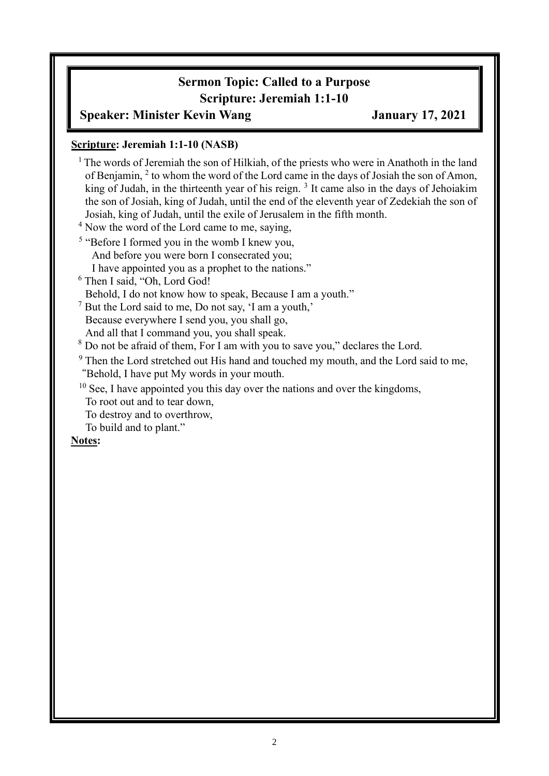### **Sermon Topic: Called to a Purpose Scripture: Jeremiah 1:1-10**

#### **Speaker: Minister Kevin Wang January 17, 2021**

#### **Scripture: Jeremiah 1:1-10 (NASB)**

 $1$ <sup>1</sup> The words of Jeremiah the son of Hilkiah, of the priests who were in Anathoth in the land of Benjamin, <sup>2</sup> to whom the word of the Lord came in the days of Josiah the son of Amon, king of Judah, in the thirteenth year of his reign.<sup>3</sup> It came also in the days of Jehoiakim the son of Josiah, king of Judah, until the end of the eleventh year of Zedekiah the son of Josiah, king of Judah, until the exile of Jerusalem in the fifth month.

<sup>4</sup> Now the word of the Lord came to me, saying,

<sup>5</sup> "Before I formed you in the womb I knew you, And before you were born I consecrated you; I have appointed you as a prophet to the nations."

<sup>6</sup> Then I said, "Oh, Lord God!

Behold, I do not know how to speak, Because I am a youth."

<sup>7</sup> But the Lord said to me, Do not say, 'I am a youth,'

Because everywhere I send you, you shall go, And all that I command you, you shall speak.

<sup>8</sup> Do not be afraid of them, For I am with you to save you," declares the Lord.

<sup>9</sup> Then the Lord stretched out His hand and touched my mouth, and the Lord said to me, "Behold, I have put My words in your mouth.

 $10$  See, I have appointed you this day over the nations and over the kingdoms,

To root out and to tear down,

To destroy and to overthrow,

To build and to plant."

#### **Notes:**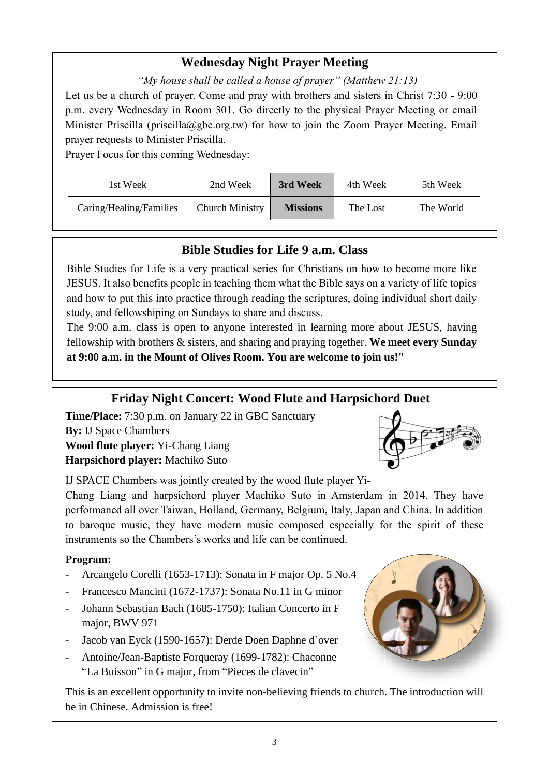### **Wednesday Night Prayer Meeting**

*"My house shall be called a house of prayer" (Matthew 21:13)*

Let us be a church of prayer. Come and pray with brothers and sisters in Christ 7:30 - 9:00 p.m. every Wednesday in Room 301. Go directly to the physical Prayer Meeting or email Minister Priscilla (priscilla@gbc.org.tw) for how to join the Zoom Prayer Meeting. Email prayer requests to Minister Priscilla.

Prayer Focus for this coming Wednesday:

| 1st Week                | 2nd Week               | 3rd Week<br>4th Week |          | 5th Week  |
|-------------------------|------------------------|----------------------|----------|-----------|
| Caring/Healing/Families | <b>Church Ministry</b> | <b>Missions</b>      | The Lost | The World |

### **Bible Studies for Life 9 a.m. Class**

Bible Studies for Life is a very practical series for Christians on how to become more like JESUS. It also benefits people in teaching them what the Bible says on a variety of life topics and how to put this into practice through reading the scriptures, doing individual short daily study, and fellowshiping on Sundays to share and discuss.

The 9:00 a.m. class is open to anyone interested in learning more about JESUS, having fellowship with brothers & sisters, and sharing and praying together. **We meet every Sunday at 9:00 a.m. in the Mount of Olives Room. You are welcome to join us!"**

### **Friday Night Concert: Wood Flute and Harpsichord Duet**

**Time/Place:** 7:30 p.m. on January 22 in GBC Sanctuary **By:** IJ Space Chambers **Wood flute player:** Yi-Chang Liang

**Harpsichord player:** Machiko Suto

IJ SPACE Chambers was jointly created by the wood flute player Yi-

Chang Liang and harpsichord player Machiko Suto in Amsterdam in 2014. They have performaned all over Taiwan, Holland, Germany, Belgium, Italy, Japan and China. In addition to baroque music, they have modern music composed especially for the spirit of these instruments so the Chambers's works and life can be continued.

#### **Program:**

- Arcangelo Corelli (1653-1713): Sonata in F major Op. 5 No.4
- Francesco Mancini (1672-1737): Sonata No.11 in G minor
- Johann Sebastian Bach (1685-1750): Italian Concerto in F major, BWV 971
- Jacob van Eyck (1590-1657): Derde Doen Daphne d'over
- Antoine/Jean-Baptiste Forqueray (1699-1782): Chaconne "La Buisson" in G major, from "Pieces de clavecin"

This is an excellent opportunity to invite non-believing friends to church. The introduction will be in Chinese. Admission is free!



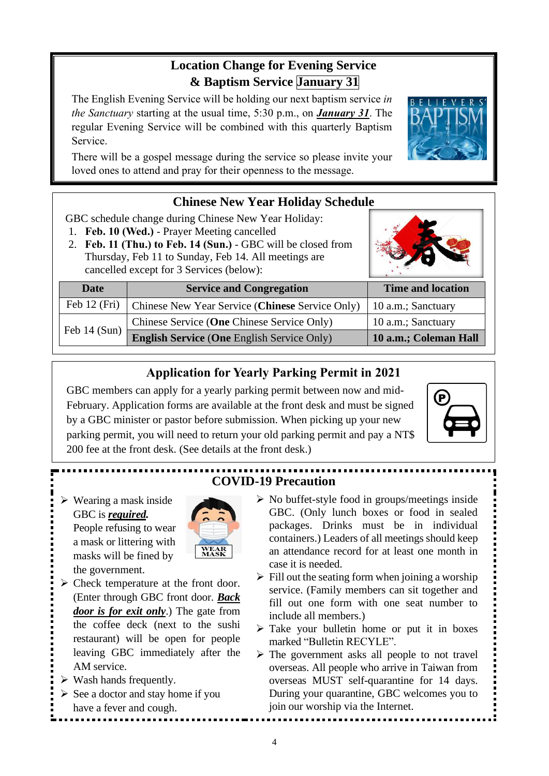## **Location Change for Evening Service & Baptism Service January 31**

The English Evening Service will be holding our next baptism service *in the Sanctuary* starting at the usual time, 5:30 p.m., on *January 31*. The regular Evening Service will be combined with this quarterly Baptism Service.

There will be a gospel message during the service so please invite your loved ones to attend and pray for their openness to the message.

### **Chinese New Year Holiday Schedule**

GBC schedule change during Chinese New Year Holiday:

- 1. **Feb. 10 (Wed.)** Prayer Meeting cancelled
- 2. **Feb. 11 (Thu.) to Feb. 14 (Sun.)** GBC will be closed from Thursday, Feb 11 to Sunday, Feb 14. All meetings are cancelled except for 3 Services (below):

| Date           | <b>Service and Congregation</b>                                | <b>Time and location</b> |
|----------------|----------------------------------------------------------------|--------------------------|
|                | Feb 12 (Fri)   Chinese New Year Service (Chinese Service Only) | 10 a.m.; Sanctuary       |
| Feb $14$ (Sun) | Chinese Service (One Chinese Service Only)                     | 10 a.m.; Sanctuary       |
|                | <b>English Service (One English Service Only)</b>              | 10 a.m.; Coleman Hall    |

### **Application for Yearly Parking Permit in 2021**

GBC members can apply for a yearly parking permit between now and mid-February. Application forms are available at the front desk and must be signed by a GBC minister or pastor before submission. When picking up your new parking permit, you will need to return your old parking permit and pay a NT\$ 200 fee at the front desk. (See details at the front desk.)



# **COVID-19 Precaution**

➢ Wearing a mask inside GBC is *required.* People refusing to wear a mask or littering with masks will be fined by the government.



- ➢ Check temperature at the front door. (Enter through GBC front door. *Back door is for exit only*.) The gate from the coffee deck (next to the sushi restaurant) will be open for people leaving GBC immediately after the AM service.
- $\triangleright$  Wash hands frequently.
- $\triangleright$  See a doctor and stay home if you have a fever and cough.
- ➢ No buffet-style food in groups/meetings inside GBC. (Only lunch boxes or food in sealed packages. Drinks must be in individual containers.) Leaders of all meetings should keep an attendance record for at least one month in case it is needed.
- $\triangleright$  Fill out the seating form when joining a worship service. (Family members can sit together and fill out one form with one seat number to include all members.)
- ➢ Take your bulletin home or put it in boxes marked "Bulletin RECYLE".
- ➢ The government asks all people to not travel overseas. All people who arrive in Taiwan from overseas MUST self-quarantine for 14 days. During your quarantine, GBC welcomes you to join our worship via the Internet.

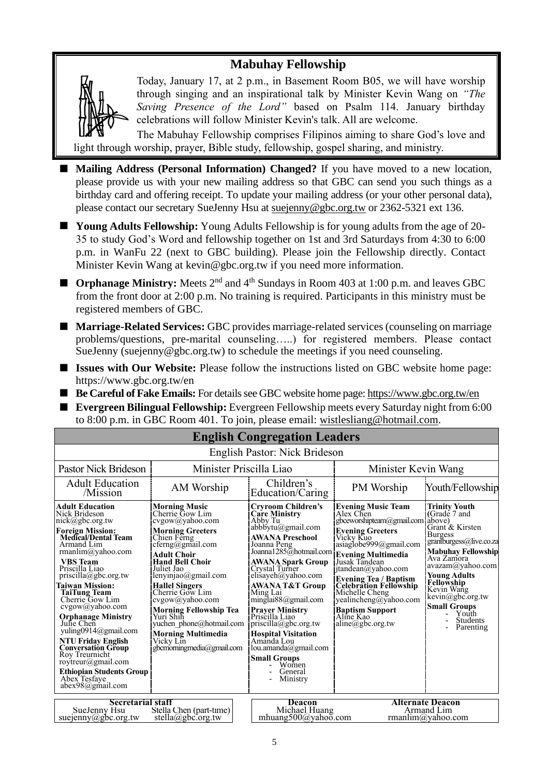### **Mabuhay Fellowship**



Today, January 17, at 2 p.m., in Basement Room B05, we will have worship through singing and an inspirational talk by Minister Kevin Wang on *"The Saving Presence of the Lord"* based on Psalm 114. January birthday celebrations will follow Minister Kevin's talk. All are welcome.

The Mabuhay Fellowship comprises Filipinos aiming to share God's love and light through worship, prayer, Bible study, fellowship, gospel sharing, and ministry.

- Mailing Address (Personal Information) Changed? If you have moved to a new location, please provide us with your new mailing address so that GBC can send you such things as a birthday card and offering receipt. To update your mailing address (or your other personal data), please contact our secretary SueJenny Hsu at [suejenny@gbc.org.tw](mailto:suejenny@gbc.org.tw) or 2362-5321 ext 136.
- **Young Adults Fellowship:** Young Adults Fellowship is for young adults from the age of 20-35 to study God's Word and fellowship together on 1st and 3rd Saturdays from 4:30 to 6:00 p.m. in WanFu 22 (next to GBC building). Please join the Fellowship directly. Contact Minister Kevin Wang at kevin@gbc.org.tw if you need more information.
- **Orphanage Ministry:** Meets 2<sup>nd</sup> and 4<sup>th</sup> Sundays in Room 403 at 1:00 p.m. and leaves GBC from the front door at 2:00 p.m. No training is required. Participants in this ministry must be registered members of GBC.
- **Marriage-Related Services:** GBC provides marriage-related services (counseling on marriage problems/questions, pre-marital counseling…..) for registered members. Please contact SueJenny (suejenny@gbc.org.tw) to schedule the meetings if you need counseling.
- **Issues with Our Website:** Please follow the instructions listed on GBC website home page: https://www.gbc.org.tw/en
- Be Careful of Fake Emails: For details see GBC website home page[: https://www.gbc.org.tw/en](https://www.gbc.org.tw/en)
- **Evergreen Bilingual Fellowship:** Evergreen Fellowship meets every Saturday night from 6:00 to 8:00 p.m. in GBC Room 401. To join, please email: [wistlesliang@hotmail.com.](mailto:wistlesliang@hotmail.com)

| <b>English Congregation Leaders</b>                                                                                                                                                                                                                                                                                                                                                                                                                                                                                                                            |                                                                                                                                                                                                                                                                                                                                                                                                                        |                                                                                                                                                                                                                                                                                                                                                                                                                                                                                                                       |                                                                                                                                                                                                                                                                                                                                                                                         |                                                                                                                                                                                                                                                                                                                      |  |
|----------------------------------------------------------------------------------------------------------------------------------------------------------------------------------------------------------------------------------------------------------------------------------------------------------------------------------------------------------------------------------------------------------------------------------------------------------------------------------------------------------------------------------------------------------------|------------------------------------------------------------------------------------------------------------------------------------------------------------------------------------------------------------------------------------------------------------------------------------------------------------------------------------------------------------------------------------------------------------------------|-----------------------------------------------------------------------------------------------------------------------------------------------------------------------------------------------------------------------------------------------------------------------------------------------------------------------------------------------------------------------------------------------------------------------------------------------------------------------------------------------------------------------|-----------------------------------------------------------------------------------------------------------------------------------------------------------------------------------------------------------------------------------------------------------------------------------------------------------------------------------------------------------------------------------------|----------------------------------------------------------------------------------------------------------------------------------------------------------------------------------------------------------------------------------------------------------------------------------------------------------------------|--|
| English Pastor: Nick Brideson                                                                                                                                                                                                                                                                                                                                                                                                                                                                                                                                  |                                                                                                                                                                                                                                                                                                                                                                                                                        |                                                                                                                                                                                                                                                                                                                                                                                                                                                                                                                       |                                                                                                                                                                                                                                                                                                                                                                                         |                                                                                                                                                                                                                                                                                                                      |  |
| Pastor Nick Brideson                                                                                                                                                                                                                                                                                                                                                                                                                                                                                                                                           | Minister Priscilla Liao                                                                                                                                                                                                                                                                                                                                                                                                |                                                                                                                                                                                                                                                                                                                                                                                                                                                                                                                       | Minister Kevin Wang                                                                                                                                                                                                                                                                                                                                                                     |                                                                                                                                                                                                                                                                                                                      |  |
| <b>Adult Education</b><br>/Mission                                                                                                                                                                                                                                                                                                                                                                                                                                                                                                                             | AM Worship                                                                                                                                                                                                                                                                                                                                                                                                             | Children's<br>Education/Caring                                                                                                                                                                                                                                                                                                                                                                                                                                                                                        | PM Worship                                                                                                                                                                                                                                                                                                                                                                              | Youth/Fellowship                                                                                                                                                                                                                                                                                                     |  |
| <b>Adult Education</b><br>Nick Brideson<br>nick@gbc.org.tw<br><b>Foreign Mission:</b><br><b>Medical/Dental Team</b><br>Armand Lim<br>rmanlim@yahoo.com<br><b>VBS</b> Team<br>Priscilla Liao<br>$priscilla(\partial gbc.org.tw)$<br>Taiwan Mission:<br><b>TaiTung Team</b><br>Cherrie Gow Lim<br>cvgow@yahoo.com<br><b>Orphanage Ministry</b><br>Julie Chen<br>yuling0914@gmail.com<br><b>NTU Friday English</b><br><b>Conversation Group</b><br>Roy Treurnicht<br>rovtreur@gmail.com<br><b>Ethiopian Students Group</b><br>Abex Tesfaye<br>$abex98$ @gmail.com | <b>Morning Music</b><br>Cherrie Gow Lim<br>cvgow@yahoo.com<br><b>Morning Greeters</b><br>Chien Ferng<br>cferng@gmail.com<br>Adult Choir<br><b>Hand Bell Choir</b><br>Juliet Jao<br>lenyinjao@gmail.com<br><b>Hallel Singers</b><br>Cherrie Gow Lim<br>cvgow@yahoo.com<br><b>Morning Fellowship Tea</b><br>Yuri Shih<br>vuchen phone@hotmail.com<br><b>Morning Multimedia</b><br>Vicky Lin<br>gbcmorningmedia@gmail.com | <b>Cryroom Children's</b><br><b>Care Ministry</b><br>Abby Tu<br>$abbb$ iytu $(a)$ gmail.com<br><b>AWANA Preschool</b><br>Joanna Peng<br>Joanna1285@hotmail.com<br><b>AWANA Spark Group</b><br>Crystal Turner<br>elisayeh@yahoo.com<br><b>AWANA T&amp;T Group</b><br>Ming Lai<br>$m$ inglai $88$ @gmail.com<br><b>Prayer Ministry</b><br>Priscilla Liao<br>$priscilla(\partial gbc.org.tw)$<br><b>Hospital Visitation</b><br>Amanda Lou<br>lou.amanda@gmail.com<br><b>Small Groups</b><br>Women<br>General<br>Ministry | <b>Evening Music Team</b><br>Alex Chen<br>gbceworshipteam@gmail.com<br><b>Evening Greeters</b><br>Vicky Kuo<br>asiag lobe999@gmail.com<br><b>Evening Multimedia</b><br>Jusak Tandean<br>jtandean@yahoo.com<br><b>Evening Tea / Baptism</b><br><b>Celebration Fellowship</b><br>Michelle Cheng<br>$vealinchange(a)$ yahoo.com<br><b>Baptism Support</b><br>Aline Kao<br>aline@gbc.org.tw | <b>Trinity Youth</b><br>(Grade 7 and<br>above)<br>Grant & Kirsten<br><b>Burgess</b><br>grantburgess@live.co.za<br><b>Mabuhay Fellowship</b><br>Ava Zamora<br>avazam@yahoo.com<br><b>Young Adults</b><br>Fellowship<br>Kevin Wang<br>kevin@gbc.org.tw<br><b>Small Groups</b><br>Youth<br><b>Students</b><br>Parenting |  |
| <b>Secretarial staff</b><br>SueJenny Hsu<br>suejenny@gbc.org.tw                                                                                                                                                                                                                                                                                                                                                                                                                                                                                                | Stella Chen (part-time)<br>stella@gbc.org.tw                                                                                                                                                                                                                                                                                                                                                                           | Deacon<br>Michael Huang<br>mhuang500@yahoo.com                                                                                                                                                                                                                                                                                                                                                                                                                                                                        |                                                                                                                                                                                                                                                                                                                                                                                         | <b>Alternate Deacon</b><br>Armand Lim<br>rmanlim@yahoo.com                                                                                                                                                                                                                                                           |  |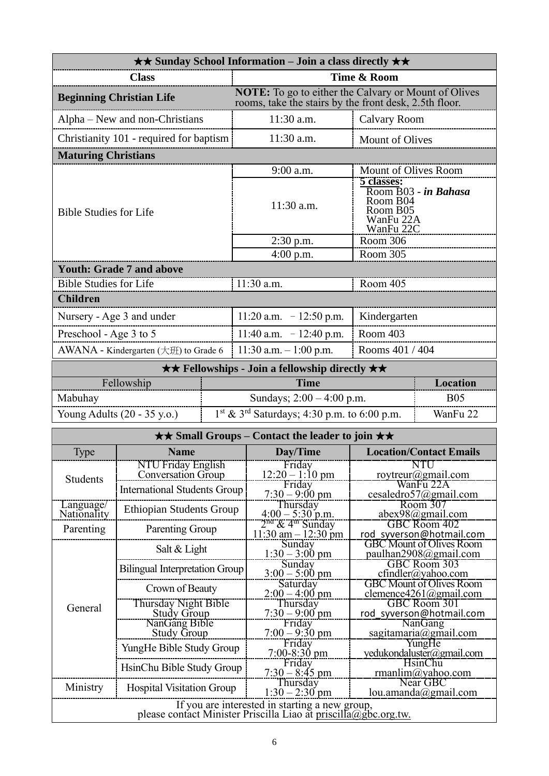| <b>★★ Sunday School Information – Join a class directly ★★</b> |                                                  |  |                                                                                                                       |                                                                                      |                                      |  |
|----------------------------------------------------------------|--------------------------------------------------|--|-----------------------------------------------------------------------------------------------------------------------|--------------------------------------------------------------------------------------|--------------------------------------|--|
| <b>Class</b>                                                   |                                                  |  | Time & Room                                                                                                           |                                                                                      |                                      |  |
| <b>Beginning Christian Life</b>                                |                                                  |  | <b>NOTE:</b> To go to either the Calvary or Mount of Olives<br>rooms, take the stairs by the front desk, 2.5th floor. |                                                                                      |                                      |  |
|                                                                | Alpha – New and non-Christians                   |  | 11:30 a.m.                                                                                                            | <b>Calvary Room</b>                                                                  |                                      |  |
|                                                                | Christianity 101 - required for baptism          |  | 11:30 a.m.                                                                                                            | Mount of Olives                                                                      |                                      |  |
| <b>Maturing Christians</b>                                     |                                                  |  |                                                                                                                       |                                                                                      |                                      |  |
|                                                                |                                                  |  | 9:00 a.m.                                                                                                             | Mount of Olives Room                                                                 |                                      |  |
| <b>Bible Studies for Life</b>                                  |                                                  |  | 11:30 a.m.                                                                                                            | 5 classes:<br>Room B03 - in Bahasa<br>Room B04<br>Room B05<br>WanFu 22A<br>WanFu 22C |                                      |  |
|                                                                |                                                  |  | $2:30$ p.m.                                                                                                           | Room 306                                                                             |                                      |  |
|                                                                |                                                  |  | $4:00$ p.m.                                                                                                           | Room 305                                                                             |                                      |  |
|                                                                | <b>Youth: Grade 7 and above</b>                  |  |                                                                                                                       |                                                                                      |                                      |  |
| <b>Bible Studies for Life</b><br><b>Children</b>               |                                                  |  | 11:30 a.m.                                                                                                            | Room 405                                                                             |                                      |  |
|                                                                |                                                  |  |                                                                                                                       |                                                                                      |                                      |  |
|                                                                | Nursery - Age 3 and under                        |  | 11:20 a.m. $-12:50$ p.m.                                                                                              | Kindergarten                                                                         |                                      |  |
| Preschool - Age 3 to 5                                         |                                                  |  | 11:40 a.m. $-12:40$ p.m.                                                                                              | Room 403                                                                             |                                      |  |
|                                                                | AWANA - Kindergarten $(\pm \text{H})$ to Grade 6 |  | 11:30 a.m. $-1:00$ p.m.<br>Rooms 401 / 404                                                                            |                                                                                      |                                      |  |
|                                                                |                                                  |  | <b>★★ Fellowships - Join a fellowship directly ★★</b>                                                                 |                                                                                      |                                      |  |
|                                                                | Fellowship                                       |  |                                                                                                                       | <b>Time</b><br><b>Location</b>                                                       |                                      |  |
| Mabuhay                                                        |                                                  |  | <b>B05</b><br>Sundays; $2:00 - 4:00$ p.m.<br>1 <sup>st</sup> & 3 <sup>rd</sup> Saturdays; 4:30 p.m. to 6:00 p.m.      |                                                                                      |                                      |  |
|                                                                | Young Adults (20 - 35 y.o.)                      |  |                                                                                                                       |                                                                                      | WanFu 22                             |  |
|                                                                |                                                  |  | $\star\star$ Small Groups – Contact the leader to join $\star\star$                                                   |                                                                                      |                                      |  |
| Type                                                           | <b>Name</b>                                      |  | Day/Time                                                                                                              | <b>Location/Contact Emails</b>                                                       |                                      |  |
| Students                                                       | NTU Friday English<br><b>Conversation Group</b>  |  | Friday<br>$12:20 - 1:10$ pm                                                                                           |                                                                                      | NTU<br>roytreur@gmail.com            |  |
|                                                                | <b>International Students Group</b>              |  | Friday                                                                                                                |                                                                                      | WanFu 22A<br>cesaledro57@gmail.com   |  |
| Language/<br>Nationality                                       | <b>Ethiopian Students Group</b>                  |  | $7:30 - 9:00$ pm<br>Thursday<br>$4:00 - 5:30$ p.m.                                                                    | Room 307<br>$abex98$ @gmail.com                                                      |                                      |  |
| Parenting                                                      | Parenting Group                                  |  | 2 <sup>nd</sup> & 4 <sup>m</sup> Sunday                                                                               |                                                                                      | GBC Room 402                         |  |
|                                                                |                                                  |  | $11:30$ am $-12:30$ pm<br>Sunday                                                                                      | rod syverson@hotmail.com<br><b>GBC Mount of Olives Room</b>                          |                                      |  |
|                                                                | Salt & Light                                     |  | $1:30 - 3:00$ pm                                                                                                      |                                                                                      | paulhan2908@gmail.com                |  |
| <b>Bilingual Interpretation Group</b>                          |                                                  |  | Sunday<br>$3:00 - 5:00$ pm                                                                                            | GBC Room 303<br>$cfindler(a)$ yahoo.com                                              |                                      |  |
| Crown of Beauty                                                |                                                  |  | Saturday<br>$2:00-4:00 \text{ pm}$                                                                                    | <b>GBC Mount of Olives Room</b><br>clemence4261@gmail.com                            |                                      |  |
| Thursday Night Bible<br>General                                |                                                  |  | Thursday<br>$7:30-9:00$ pm                                                                                            | GBC Room 301<br>rod syverson@hotmail.com                                             |                                      |  |
| <b>Study Group</b><br>NanGang Bible                            |                                                  |  | Friday                                                                                                                |                                                                                      | <b>NanGang</b>                       |  |
|                                                                | <b>Study Group</b>                               |  | $7:00-9:30$ pm<br>Friday                                                                                              |                                                                                      | sagitamaria@gmail.com<br>YungHe      |  |
|                                                                | YungHe Bible Study Group                         |  | $7:00 - 8:30$ pm<br>Friday                                                                                            |                                                                                      | yedukondaluster@gmail.com<br>HsinChu |  |
|                                                                | HsinChu Bible Study Group                        |  | <u>7:30 – 8:45 pm</u>                                                                                                 |                                                                                      | rmanlim@yahoo.com                    |  |
| Ministry                                                       | <b>Hospital Visitation Group</b>                 |  | Thursday<br>$1:30 - 2:30$ pm                                                                                          |                                                                                      | Near GBC<br>lou. amanda@gmail.com    |  |
|                                                                |                                                  |  | If you are interested in starting a new group,<br>please contact Minister Priscilla Liao at priscilla@gbc.org.tw.     |                                                                                      |                                      |  |